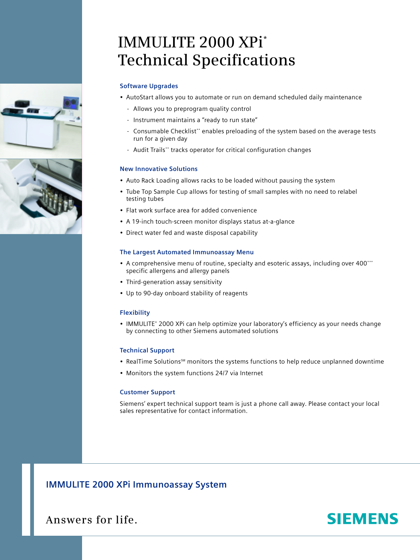# **IMMULITE 2000 XPi\* Technical Specifications**

# **Software Upgrades**

- AutoStart allows you to automate or run on demand scheduled daily maintenance
	- Allows you to preprogram quality control
	- Instrument maintains a "ready to run state"
	- Consumable Checklist\*\* enables preloading of the system based on the average tests run for a given day
	- Audit Trails\*\* tracks operator for critical configuration changes

# **New Innovative Solutions**

- Auto Rack Loading allows racks to be loaded without pausing the system
- Tube Top Sample Cup allows for testing of small samples with no need to relabel testing tubes
- Flat work surface area for added convenience
- A 19-inch touch-screen monitor displays status at-a-glance
- Direct water fed and waste disposal capability

### **The Largest Automated Immunoassay Menu**

- A comprehensive menu of routine, specialty and esoteric assays, including over 400\*\*\* specific allergens and allergy panels
- Third-generation assay sensitivity
- Up to 90-day onboard stability of reagents

### **Flexibility**

• IMMULITE® 2000 XPi can help optimize your laboratory's efficiency as your needs change by connecting to other Siemens automated solutions

## **Technical Support**

- RealTime Solutions<sup>5M</sup> monitors the systems functions to help reduce unplanned downtime
- Monitors the system functions 24/7 via Internet

### **Customer Support**

Siemens' expert technical support team is just a phone call away. Please contact your local sales representative for contact information.

# **IMMULITE 2000 XPi Immunoassay System**

**Answers for life.**

# **SIEMENS**